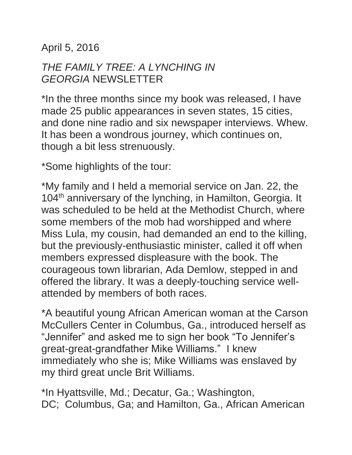April 5, 2016

## *THE FAMILY TREE: A LYNCHING IN GEORGIA* NEWSLETTER

\*In the three months since my book was released, I have made 25 public appearances in seven states, 15 cities, and done nine radio and six newspaper interviews. Whew. It has been a wondrous journey, which continues on, though a bit less strenuously.

\*Some highlights of the tour:

\*My family and I held a memorial service on Jan. 22, the 104<sup>th</sup> anniversary of the lynching, in Hamilton, Georgia. It was scheduled to be held at the Methodist Church, where some members of the mob had worshipped and where Miss Lula, my cousin, had demanded an end to the killing, but the previously-enthusiastic minister, called it off when members expressed displeasure with the book. The courageous town librarian, Ada Demlow, stepped in and offered the library. It was a deeply-touching service wellattended by members of both races.

\*A beautiful young African American woman at the Carson McCullers Center in Columbus, Ga., introduced herself as "Jennifer" and asked me to sign her book "To Jennifer's great-great-grandfather Mike Williams." I knew immediately who she is; Mike Williams was enslaved by my third great uncle Brit Williams.

\*In Hyattsville, Md.; Decatur, Ga.; Washington, DC; Columbus, Ga; and Hamilton, Ga., African American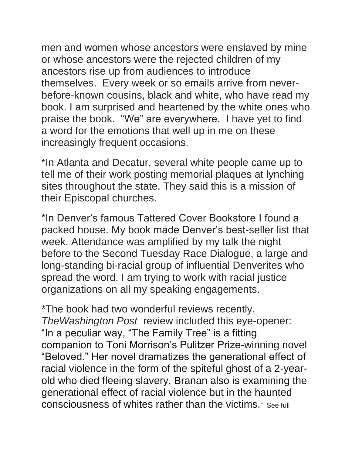men and women whose ancestors were enslaved by mine or whose ancestors were the rejected children of my ancestors rise up from audiences to introduce themselves. Every week or so emails arrive from neverbefore-known cousins, black and white, who have read my book. I am surprised and heartened by the white ones who praise the book. "We" are everywhere. I have yet to find a word for the emotions that well up in me on these increasingly frequent occasions.

\*In Atlanta and Decatur, several white people came up to tell me of their work posting memorial plaques at lynching sites throughout the state. They said this is a mission of their Episcopal churches.

\*In Denver's famous Tattered Cover Bookstore I found a packed house. My book made Denver's best-seller list that week. Attendance was amplified by my talk the night before to the Second Tuesday Race Dialogue, a large and long-standing bi-racial group of influential Denverites who spread the word. I am trying to work with racial justice organizations on all my speaking engagements.

\*The book had two wonderful reviews recently. *TheWashington Post* review included this eye-opener: "In a peculiar way, "The Family Tree" is a fitting companion to Toni Morrison's Pulitzer Prize-winning novel "Beloved." Her novel dramatizes the generational effect of racial violence in the form of the spiteful ghost of a 2-yearold who died fleeing slavery. Branan also is examining the generational effect of racial violence but in the haunted consciousness of whites rather than the victims." See full